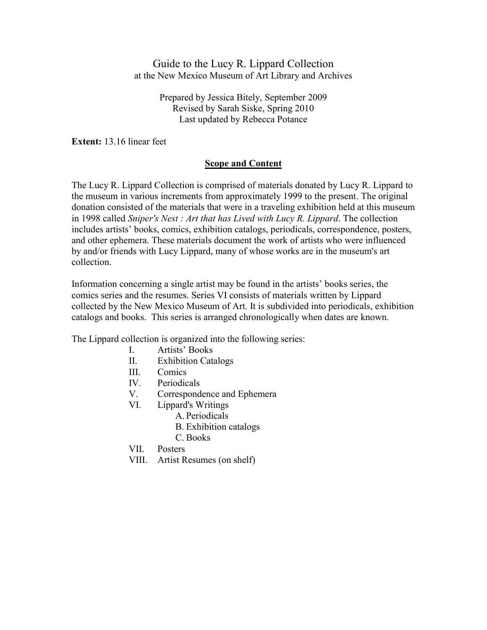Guide to the Lucy R. Lippard Collection at the New Mexico Museum of Art Library and Archives

> Prepared by Jessica Bitely, September 2009 Revised by Sarah Siske, Spring 2010 Last updated by Rebecca Potance

**Extent:** 13.16 linear feet

## **Scope and Content**

The Lucy R. Lippard Collection is comprised of materials donated by Lucy R. Lippard to the museum in various increments from approximately 1999 to the present. The original donation consisted of the materials that were in a traveling exhibition held at this museum in 1998 called *Sniper's Nest : Art that has Lived with Lucy R. Lippard*. The collection includes artists' books, comics, exhibition catalogs, periodicals, correspondence, posters, and other ephemera. These materials document the work of artists who were influenced by and/or friends with Lucy Lippard, many of whose works are in the museum's art collection.

Information concerning a single artist may be found in the artists' books series, the comics series and the resumes. Series VI consists of materials written by Lippard collected by the New Mexico Museum of Art. It is subdivided into periodicals, exhibition catalogs and books. This series is arranged chronologically when dates are known.

The Lippard collection is organized into the following series:

- I. Artists' Books
- II. Exhibition Catalogs
- III. Comics
- IV. Periodicals
- V. Correspondence and Ephemera
- VI. Lippard's Writings
	- A. Periodicals
		- B. Exhibition catalogs
		- C. Books
- VII. Posters
- VIII. Artist Resumes (on shelf)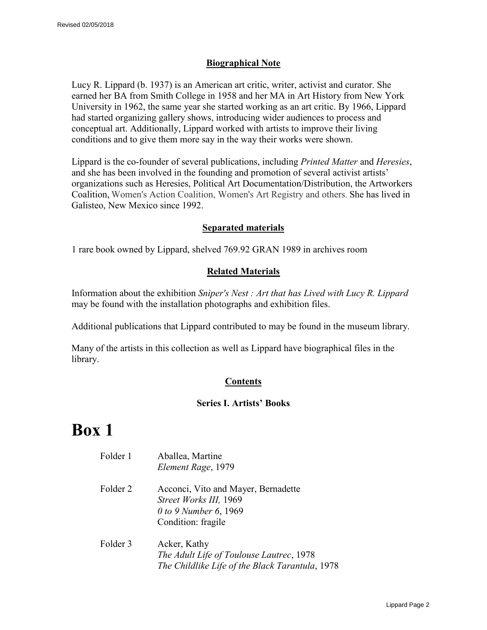## **Biographical Note**

Lucy R. Lippard (b. 1937) is an American art critic, writer, activist and curator. She earned her BA from Smith College in 1958 and her MA in Art History from New York University in 1962, the same year she started working as an art critic. By 1966, Lippard had started organizing gallery shows, introducing wider audiences to process and conceptual art. Additionally, Lippard worked with artists to improve their living conditions and to give them more say in the way their works were shown.

Lippard is the co-founder of several publications, including *Printed Matter* and *Heresies*, and she has been involved in the founding and promotion of several activist artists' organizations such as Heresies, Political Art Documentation/Distribution, the Artworkers Coalition, Women's Action Coalition, Women's Art Registry and others. She has lived in Galisteo, New Mexico since 1992.

## **Separated materials**

1 rare book owned by Lippard, shelved 769.92 GRAN 1989 in archives room

## **Related Materials**

Information about the exhibition *Sniper's Nest : Art that has Lived with Lucy R. Lippard*  may be found with the installation photographs and exhibition files.

Additional publications that Lippard contributed to may be found in the museum library.

Many of the artists in this collection as well as Lippard have biographical files in the library.

## **Contents**

## **Series I. Artists' Books**

| Folder 1 | Aballea, Martine<br>Element Rage, 1979                                                                       |
|----------|--------------------------------------------------------------------------------------------------------------|
| Folder 2 | Acconci, Vito and Mayer, Bernadette<br>Street Works III, 1969<br>0 to 9 Number 6, 1969<br>Condition: fragile |
| Folder 3 | Acker, Kathy<br>The Adult Life of Toulouse Lautrec, 1978<br>The Childlike Life of the Black Tarantula, 1978  |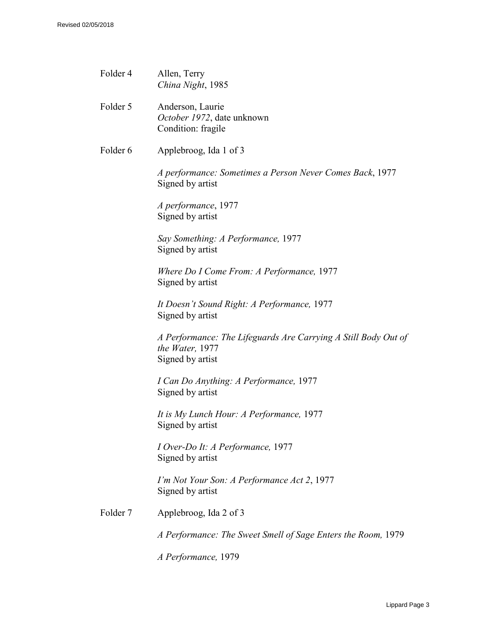| Folder 4            | Allen, Terry<br>China Night, 1985                                                                     |
|---------------------|-------------------------------------------------------------------------------------------------------|
| Folder 5            | Anderson, Laurie<br>October 1972, date unknown<br>Condition: fragile                                  |
| Folder 6            | Applebroog, Ida 1 of 3                                                                                |
|                     | A performance: Sometimes a Person Never Comes Back, 1977<br>Signed by artist                          |
|                     | A performance, 1977<br>Signed by artist                                                               |
|                     | Say Something: A Performance, 1977<br>Signed by artist                                                |
|                     | Where Do I Come From: A Performance, 1977<br>Signed by artist                                         |
|                     | It Doesn't Sound Right: A Performance, 1977<br>Signed by artist                                       |
|                     | A Performance: The Lifeguards Are Carrying A Still Body Out of<br>the Water, 1977<br>Signed by artist |
|                     | I Can Do Anything: A Performance, 1977<br>Signed by artist                                            |
|                     | It is My Lunch Hour: A Performance, 1977<br>Signed by artist                                          |
|                     | I Over-Do It: A Performance, 1977<br>Signed by artist                                                 |
|                     | I'm Not Your Son: A Performance Act 2, 1977<br>Signed by artist                                       |
| Folder <sub>7</sub> | Applebroog, Ida 2 of 3                                                                                |
|                     | A Performance: The Sweet Smell of Sage Enters the Room, 1979                                          |
|                     | A Performance, 1979                                                                                   |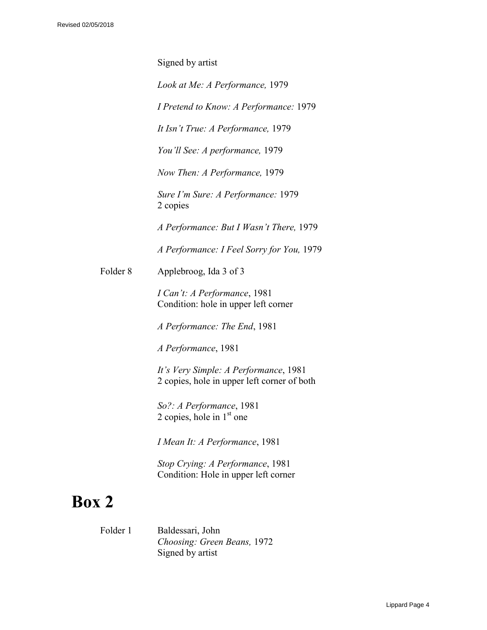Signed by artist

*Look at Me: A Performance,* 1979

*I Pretend to Know: A Performance:* 1979

*It Isn't True: A Performance,* 1979

*You'll See: A performance,* 1979

*Now Then: A Performance,* 1979

*Sure I'm Sure: A Performance:* 1979 2 copies

*A Performance: But I Wasn't There,* 1979

*A Performance: I Feel Sorry for You,* 1979

Folder 8 Applebroog, Ida 3 of 3

*I Can't: A Performance*, 1981 Condition: hole in upper left corner

*A Performance: The End*, 1981

*A Performance*, 1981

*It's Very Simple: A Performance*, 1981 2 copies, hole in upper left corner of both

*So?: A Performance*, 1981 2 copies, hole in  $1<sup>st</sup>$  one

*I Mean It: A Performance*, 1981

*Stop Crying: A Performance*, 1981 Condition: Hole in upper left corner

# **Box 2**

Folder 1 Baldessari, John *Choosing: Green Beans,* 1972 Signed by artist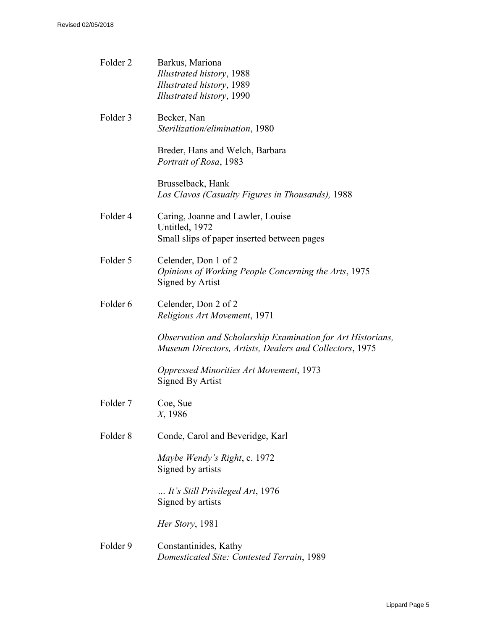| Folder <sub>2</sub> | Barkus, Mariona<br>Illustrated history, 1988<br>Illustrated history, 1989<br>Illustrated history, 1990                 |
|---------------------|------------------------------------------------------------------------------------------------------------------------|
| Folder 3            | Becker, Nan<br>Sterilization/elimination, 1980                                                                         |
|                     | Breder, Hans and Welch, Barbara<br>Portrait of Rosa, 1983                                                              |
|                     | Brusselback, Hank<br>Los Clavos (Casualty Figures in Thousands), 1988                                                  |
| Folder <sub>4</sub> | Caring, Joanne and Lawler, Louise<br>Untitled, 1972<br>Small slips of paper inserted between pages                     |
| Folder 5            | Celender, Don 1 of 2<br>Opinions of Working People Concerning the Arts, 1975<br>Signed by Artist                       |
| Folder <sub>6</sub> | Celender, Don 2 of 2<br>Religious Art Movement, 1971                                                                   |
|                     | Observation and Scholarship Examination for Art Historians,<br>Museum Directors, Artists, Dealers and Collectors, 1975 |
|                     | <b>Oppressed Minorities Art Movement, 1973</b><br>Signed By Artist                                                     |
| Folder <sub>7</sub> | Coe, Sue<br>X, 1986                                                                                                    |
| Folder <sub>8</sub> | Conde, Carol and Beveridge, Karl                                                                                       |
|                     | Maybe Wendy's Right, c. 1972<br>Signed by artists                                                                      |
|                     | It's Still Privileged Art, 1976<br>Signed by artists                                                                   |
|                     | Her Story, 1981                                                                                                        |
| Folder 9            | Constantinides, Kathy<br>Domesticated Site: Contested Terrain, 1989                                                    |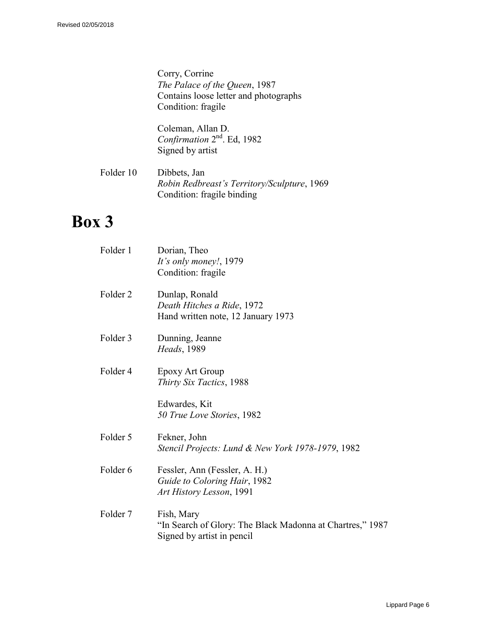Corry, Corrine *The Palace of the Queen*, 1987 Contains loose letter and photographs Condition: fragile

Coleman, Allan D. Confirmation 2<sup>nd</sup>. Ed, 1982 Signed by artist

Folder 10 Dibbets, Jan *Robin Redbreast's Territory/Sculpture*, 1969 Condition: fragile binding

| Folder 1            | Dorian, Theo<br>It's only money!, 1979<br>Condition: fragile                                          |
|---------------------|-------------------------------------------------------------------------------------------------------|
| Folder <sub>2</sub> | Dunlap, Ronald<br>Death Hitches a Ride, 1972<br>Hand written note, 12 January 1973                    |
| Folder 3            | Dunning, Jeanne<br>Heads, 1989                                                                        |
| Folder <sub>4</sub> | <b>Epoxy Art Group</b><br>Thirty Six Tactics, 1988                                                    |
|                     | Edwardes, Kit<br>50 True Love Stories, 1982                                                           |
| Folder 5            | Fekner, John<br>Stencil Projects: Lund & New York 1978-1979, 1982                                     |
| Folder <sub>6</sub> | Fessler, Ann (Fessler, A. H.)<br>Guide to Coloring Hair, 1982<br>Art History Lesson, 1991             |
| Folder <sub>7</sub> | Fish, Mary<br>"In Search of Glory: The Black Madonna at Chartres," 1987<br>Signed by artist in pencil |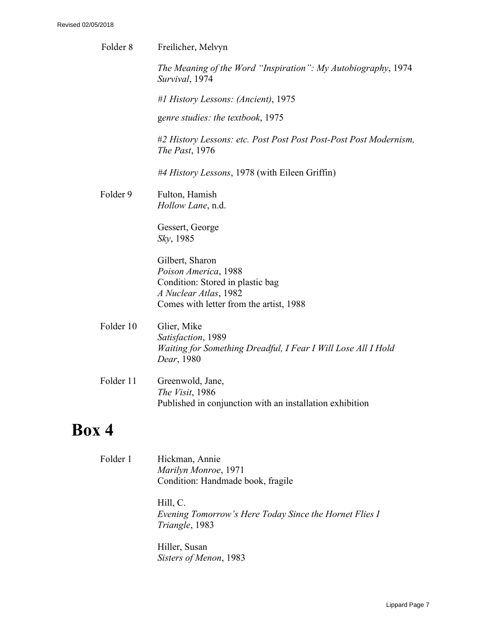| Freilicher, Melvyn                                                                                                                              |
|-------------------------------------------------------------------------------------------------------------------------------------------------|
| The Meaning of the Word "Inspiration": My Autobiography, 1974<br>Survival, 1974                                                                 |
| #1 History Lessons: (Ancient), 1975                                                                                                             |
| genre studies: the textbook, 1975                                                                                                               |
| #2 History Lessons: etc. Post Post Post Post-Post Post Modernism,<br><i>The Past</i> , 1976                                                     |
| #4 History Lessons, 1978 (with Eileen Griffin)                                                                                                  |
| Fulton, Hamish<br><i>Hollow Lane</i> , n.d.                                                                                                     |
| Gessert, George<br><i>Sky</i> , 1985                                                                                                            |
| Gilbert, Sharon<br>Poison America, 1988<br>Condition: Stored in plastic bag<br>A Nuclear Atlas, 1982<br>Comes with letter from the artist, 1988 |
| Glier, Mike<br>Satisfaction, 1989<br>Waiting for Something Dreadful, I Fear I Will Lose All I Hold<br>Dear, 1980                                |
| Greenwold, Jane,<br>The Visit, 1986<br>Published in conjunction with an installation exhibition                                                 |
|                                                                                                                                                 |
| $E_0$ ldar 1 $\qquad$ Ulialman Annia                                                                                                            |
|                                                                                                                                                 |

Folder 1 Hickman, Annie *Marilyn Monroe*, 1971 Condition: Handmade book, fragile

> Hill, C. *Evening Tomorrow's Here Today Since the Hornet Flies I Triangle*, 1983

Hiller, Susan *Sisters of Menon*, 1983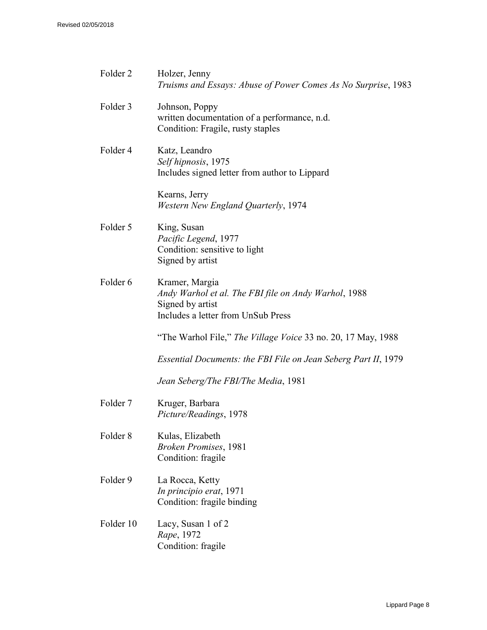| Folder <sub>2</sub> | Holzer, Jenny<br>Truisms and Essays: Abuse of Power Comes As No Surprise, 1983                                                   |
|---------------------|----------------------------------------------------------------------------------------------------------------------------------|
| Folder 3            | Johnson, Poppy<br>written documentation of a performance, n.d.<br>Condition: Fragile, rusty staples                              |
| Folder 4            | Katz, Leandro<br>Self hipnosis, 1975<br>Includes signed letter from author to Lippard                                            |
|                     | Kearns, Jerry<br>Western New England Quarterly, 1974                                                                             |
| Folder 5            | King, Susan<br>Pacific Legend, 1977<br>Condition: sensitive to light<br>Signed by artist                                         |
| Folder 6            | Kramer, Margia<br>Andy Warhol et al. The FBI file on Andy Warhol, 1988<br>Signed by artist<br>Includes a letter from UnSub Press |
|                     | "The Warhol File," The Village Voice 33 no. 20, 17 May, 1988                                                                     |
|                     | Essential Documents: the FBI File on Jean Seberg Part II, 1979                                                                   |
|                     | Jean Seberg/The FBI/The Media, 1981                                                                                              |
| Folder <sub>7</sub> | Kruger, Barbara<br>Picture/Readings, 1978                                                                                        |
| Folder <sub>8</sub> | Kulas, Elizabeth<br><b>Broken Promises</b> , 1981<br>Condition: fragile                                                          |
| Folder 9            | La Rocca, Ketty<br>In principio erat, 1971<br>Condition: fragile binding                                                         |
| Folder 10           | Lacy, Susan 1 of 2<br>Rape, 1972<br>Condition: fragile                                                                           |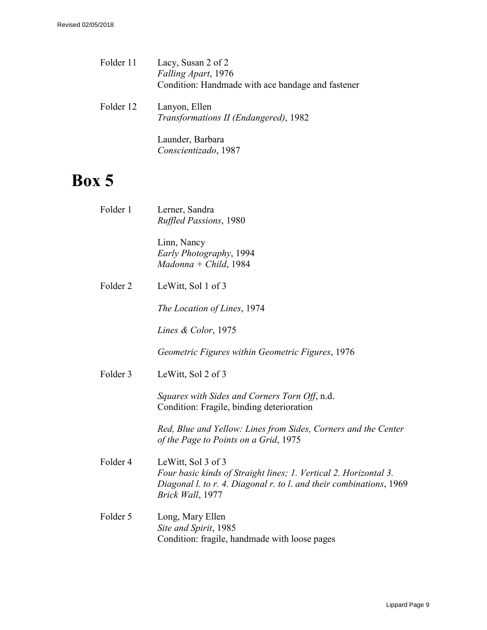- Folder 11 Lacy, Susan 2 of 2 *Falling Apart*, 1976 Condition: Handmade with ace bandage and fastener
- Folder 12 Lanyon, Ellen *Transformations II (Endangered)*, 1982

Launder, Barbara *Conscientizado*, 1987

| Folder 1            | Lerner, Sandra<br><b>Ruffled Passions, 1980</b>                                                                                                                                   |
|---------------------|-----------------------------------------------------------------------------------------------------------------------------------------------------------------------------------|
|                     | Linn, Nancy<br>Early Photography, 1994<br>$Madonna + Child, 1984$                                                                                                                 |
| Folder <sub>2</sub> | LeWitt, Sol 1 of 3                                                                                                                                                                |
|                     | The Location of Lines, 1974                                                                                                                                                       |
|                     | Lines & Color, $1975$                                                                                                                                                             |
|                     | Geometric Figures within Geometric Figures, 1976                                                                                                                                  |
| Folder 3            | LeWitt, Sol 2 of 3                                                                                                                                                                |
|                     | Squares with Sides and Corners Torn Off, n.d.<br>Condition: Fragile, binding deterioration                                                                                        |
|                     | Red, Blue and Yellow: Lines from Sides, Corners and the Center<br>of the Page to Points on a Grid, 1975                                                                           |
| Folder 4            | LeWitt, Sol 3 of 3<br>Four basic kinds of Straight lines; 1. Vertical 2. Horizontal 3.<br>Diagonal l. to r. 4. Diagonal r. to l. and their combinations, 1969<br>Brick Wall, 1977 |
| Folder 5            | Long, Mary Ellen<br>Site and Spirit, 1985<br>Condition: fragile, handmade with loose pages                                                                                        |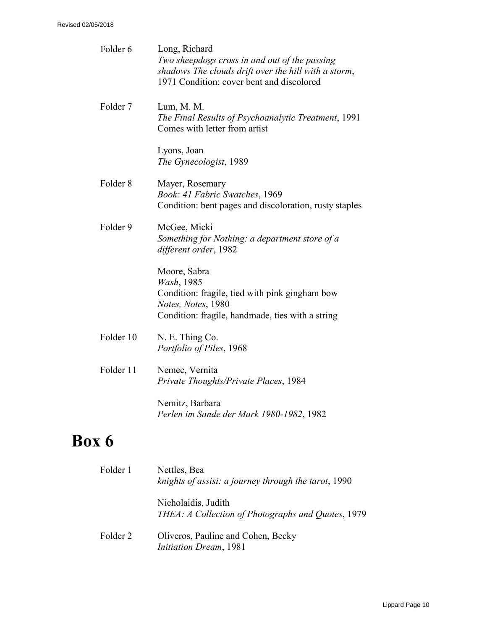| Folder 6            | Long, Richard<br>Two sheepdogs cross in and out of the passing<br>shadows The clouds drift over the hill with a storm,<br>1971 Condition: cover bent and discolored |
|---------------------|---------------------------------------------------------------------------------------------------------------------------------------------------------------------|
| Folder <sub>7</sub> | Lum, M. M.<br>The Final Results of Psychoanalytic Treatment, 1991<br>Comes with letter from artist                                                                  |
|                     | Lyons, Joan<br>The Gynecologist, 1989                                                                                                                               |
| Folder <sub>8</sub> | Mayer, Rosemary<br>Book: 41 Fabric Swatches, 1969<br>Condition: bent pages and discoloration, rusty staples                                                         |
| Folder 9            | McGee, Micki<br>Something for Nothing: a department store of a<br>different order, 1982                                                                             |
|                     | Moore, Sabra<br>Wash, 1985<br>Condition: fragile, tied with pink gingham bow<br>Notes, Notes, 1980<br>Condition: fragile, handmade, ties with a string              |
| Folder 10           | N. E. Thing Co.<br>Portfolio of Piles, 1968                                                                                                                         |
| Folder 11           | Nemec, Vernita<br>Private Thoughts/Private Places, 1984                                                                                                             |
|                     | Nemitz, Barbara<br>Perlen im Sande der Mark 1980-1982, 1982                                                                                                         |
| Box 6               |                                                                                                                                                                     |
| Folder 1            | Nettles, Bea<br>knights of assisi: a journey through the tarot, 1990                                                                                                |
|                     | Nicholaidis, Judith                                                                                                                                                 |

Folder 2 Oliveros, Pauline and Cohen, Becky *Initiation Dream*, 1981

*THEA: A Collection of Photographs and Quotes*, 1979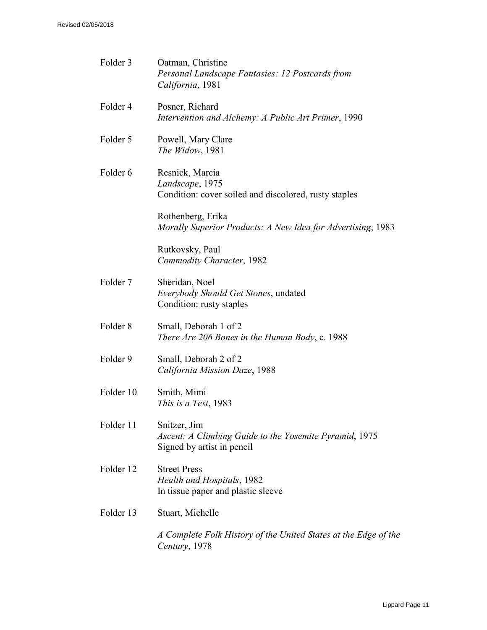| Folder 3            | Oatman, Christine<br>Personal Landscape Fantasies: 12 Postcards from<br>California, 1981             |
|---------------------|------------------------------------------------------------------------------------------------------|
| Folder 4            | Posner, Richard<br>Intervention and Alchemy: A Public Art Primer, 1990                               |
| Folder 5            | Powell, Mary Clare<br>The Widow, 1981                                                                |
| Folder 6            | Resnick, Marcia<br>Landscape, 1975<br>Condition: cover soiled and discolored, rusty staples          |
|                     | Rothenberg, Erika<br>Morally Superior Products: A New Idea for Advertising, 1983                     |
|                     | Rutkovsky, Paul<br>Commodity Character, 1982                                                         |
| Folder <sub>7</sub> | Sheridan, Noel<br>Everybody Should Get Stones, undated<br>Condition: rusty staples                   |
| Folder <sub>8</sub> | Small, Deborah 1 of 2<br>There Are 206 Bones in the Human Body, c. 1988                              |
| Folder 9            | Small, Deborah 2 of 2<br>California Mission Daze, 1988                                               |
| Folder 10           | Smith, Mimi<br>This is a Test, 1983                                                                  |
| Folder 11           | Snitzer, Jim<br>Ascent: A Climbing Guide to the Yosemite Pyramid, 1975<br>Signed by artist in pencil |
| Folder 12           | <b>Street Press</b><br>Health and Hospitals, 1982<br>In tissue paper and plastic sleeve              |
| Folder 13           | Stuart, Michelle                                                                                     |
|                     | A Complete Folk History of the United States at the Edge of the<br>Century, 1978                     |
|                     |                                                                                                      |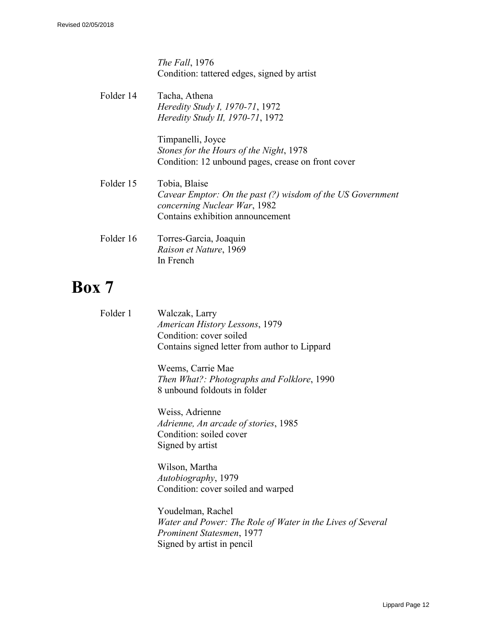*The Fall*, 1976 Condition: tattered edges, signed by artist

| Folder 14 | Tacha, Athena<br><i>Heredity Study I, 1970-71, 1972</i>                                                     |
|-----------|-------------------------------------------------------------------------------------------------------------|
|           | <i>Heredity Study II, 1970-71, 1972</i>                                                                     |
|           | Timpanelli, Joyce                                                                                           |
|           | Stones for the Hours of the Night, 1978                                                                     |
|           | Condition: 12 unbound pages, crease on front cover                                                          |
| Folder 15 | Tobia, Blaise<br>Cavear Emptor: On the past (?) wisdom of the US Government<br>concerning Nuclear War, 1982 |
|           | Contains exhibition announcement                                                                            |
| Folder 16 | Torres-Garcia, Joaquin                                                                                      |
|           | Raison et Nature, 1969                                                                                      |
|           | In French                                                                                                   |

| Folder 1 | Walczak, Larry<br>American History Lessons, 1979<br>Condition: cover soiled<br>Contains signed letter from author to Lippard               |
|----------|--------------------------------------------------------------------------------------------------------------------------------------------|
|          | Weems, Carrie Mae<br>Then What?: Photographs and Folklore, 1990<br>8 unbound foldouts in folder                                            |
|          | Weiss, Adrienne<br>Adrienne, An arcade of stories, 1985<br>Condition: soiled cover<br>Signed by artist                                     |
|          | Wilson, Martha<br>Autobiography, 1979<br>Condition: cover soiled and warped                                                                |
|          | Youdelman, Rachel<br>Water and Power: The Role of Water in the Lives of Several<br>Prominent Statesmen, 1977<br>Signed by artist in pencil |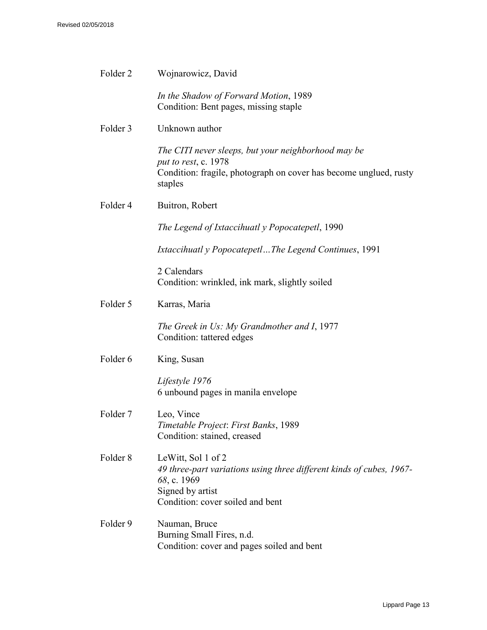| Folder <sub>2</sub> | Wojnarowicz, David                                                                                                                                                |
|---------------------|-------------------------------------------------------------------------------------------------------------------------------------------------------------------|
|                     | In the Shadow of Forward Motion, 1989<br>Condition: Bent pages, missing staple                                                                                    |
| Folder 3            | Unknown author                                                                                                                                                    |
|                     | The CITI never sleeps, but your neighborhood may be<br>put to rest, c. 1978<br>Condition: fragile, photograph on cover has become unglued, rusty<br>staples       |
| Folder 4            | Buitron, Robert                                                                                                                                                   |
|                     | The Legend of Ixtaccihuatl y Popocatepetl, 1990                                                                                                                   |
|                     | Ixtaccihuatl y PopocatepetlThe Legend Continues, 1991                                                                                                             |
|                     | 2 Calendars<br>Condition: wrinkled, ink mark, slightly soiled                                                                                                     |
| Folder 5            | Karras, Maria                                                                                                                                                     |
|                     | The Greek in Us: My Grandmother and I, 1977<br>Condition: tattered edges                                                                                          |
| Folder 6            | King, Susan                                                                                                                                                       |
|                     | Lifestyle 1976<br>6 unbound pages in manila envelope                                                                                                              |
| Folder <sub>7</sub> | Leo, Vince<br>Timetable Project: First Banks, 1989<br>Condition: stained, creased                                                                                 |
| Folder <sub>8</sub> | LeWitt, Sol 1 of 2<br>49 three-part variations using three different kinds of cubes, 1967-<br>68, c. 1969<br>Signed by artist<br>Condition: cover soiled and bent |
| Folder 9            | Nauman, Bruce<br>Burning Small Fires, n.d.<br>Condition: cover and pages soiled and bent                                                                          |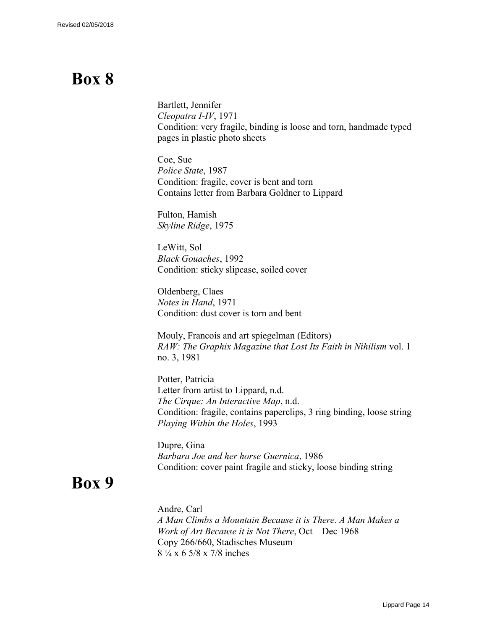# **Box 8**

Bartlett, Jennifer *Cleopatra I-IV*, 1971 Condition: very fragile, binding is loose and torn, handmade typed pages in plastic photo sheets

Coe, Sue *Police State*, 1987 Condition: fragile, cover is bent and torn Contains letter from Barbara Goldner to Lippard

Fulton, Hamish *Skyline Ridge*, 1975

LeWitt, Sol *Black Gouaches*, 1992 Condition: sticky slipcase, soiled cover

Oldenberg, Claes *Notes in Hand*, 1971 Condition: dust cover is torn and bent

Mouly, Francois and art spiegelman (Editors) *RAW: The Graphix Magazine that Lost Its Faith in Nihilism* vol. 1 no. 3, 1981

Potter, Patricia Letter from artist to Lippard, n.d. *The Cirque: An Interactive Map*, n.d. Condition: fragile, contains paperclips, 3 ring binding, loose string *Playing Within the Holes*, 1993

Dupre, Gina *Barbara Joe and her horse Guernica*, 1986 Condition: cover paint fragile and sticky, loose binding string

## **Box 9**

Andre, Carl *A Man Climbs a Mountain Because it is [There. A Man](http://www.specificobject.com/objects/info.cfm?inventory_id=7789&object_id=7727&page=1&options=) Makes a [Work of Art Because it](http://www.specificobject.com/objects/info.cfm?inventory_id=7789&object_id=7727&page=1&options=) is Not There*, Oct – Dec 1968 Copy 266/660, Stadisches Museum 8 ¼ x 6 5/8 x 7/8 inches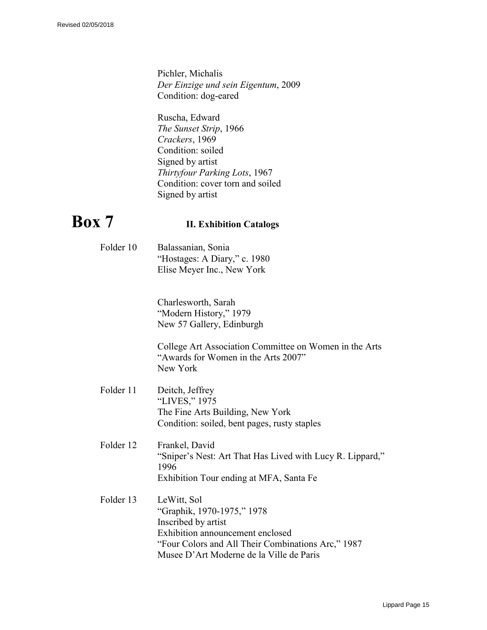Pichler, Michalis *Der Einzige und sein Eigentum*, 2009 Condition: dog-eared

Ruscha, Edward *The Sunset Strip*, 1966 *Crackers*, 1969 Condition: soiled Signed by artist *Thirtyfour Parking Lots*, 1967 Condition: cover torn and soiled Signed by artist

## **Box 7 II. Exhibition Catalogs**

Folder 10 Balassanian, Sonia "Hostages: A Diary," c. 1980 Elise Meyer Inc., New York

> Charlesworth, Sarah "Modern History," 1979 New 57 Gallery, Edinburgh

College Art Association Committee on Women in the Arts "Awards for Women in the Arts 2007" New York

- Folder 11 Deitch, Jeffrey "LIVES," 1975 The Fine Arts Building, New York Condition: soiled, bent pages, rusty staples
- Folder 12 Frankel, David "Sniper's Nest: Art That Has Lived with Lucy R. Lippard," 1996 Exhibition Tour ending at MFA, Santa Fe
- Folder 13 LeWitt, Sol "Graphik, 1970-1975," 1978 Inscribed by artist Exhibition announcement enclosed "Four Colors and All Their Combinations Arc," 1987 Musee D'Art Moderne de la Ville de Paris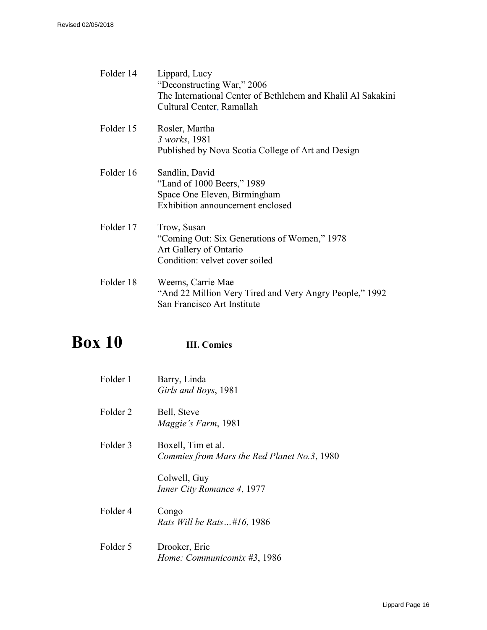| Folder 14 | Lippard, Lucy<br>"Deconstructing War," 2006<br>The International Center of Bethlehem and Khalil Al Sakakini<br>Cultural Center, Ramallah |
|-----------|------------------------------------------------------------------------------------------------------------------------------------------|
| Folder 15 | Rosler, Martha<br>3 works, 1981<br>Published by Nova Scotia College of Art and Design                                                    |
| Folder 16 | Sandlin, David<br>"Land of 1000 Beers," 1989<br>Space One Eleven, Birmingham<br>Exhibition announcement enclosed                         |
| Folder 17 | Trow, Susan<br>"Coming Out: Six Generations of Women," 1978<br>Art Gallery of Ontario<br>Condition: velvet cover soiled                  |
| Folder 18 | Weems, Carrie Mae<br>"And 22 Million Very Tired and Very Angry People," 1992<br>San Francisco Art Institute                              |

# **Box 10 III. Comics**

| Folder 1            | Barry, Linda<br>Girls and Boys, 1981                              |
|---------------------|-------------------------------------------------------------------|
| Folder 2            | Bell, Steve<br><i>Maggie's Farm</i> , 1981                        |
| Folder <sub>3</sub> | Boxell, Tim et al.<br>Commies from Mars the Red Planet No.3, 1980 |
|                     | Colwell, Guy<br>Inner City Romance 4, 1977                        |
| Folder <sub>4</sub> | Congo<br>Rats Will be Rats#16, 1986                               |
| Folder 5            | Drooker, Eric<br>Home: Communicomix #3, 1986                      |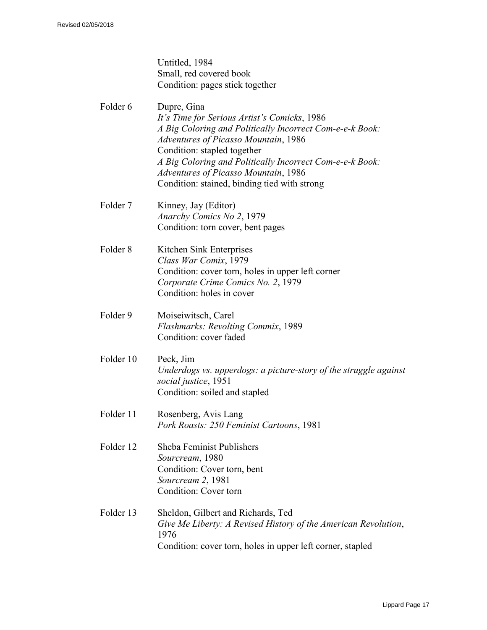Untitled, 1984 Small, red covered book Condition: pages stick together

- Folder 6 Dupre, Gina *It's Time for Serious Artist's Comicks*, 1986 *A Big Coloring and Politically Incorrect Com-e-e-k Book: Adventures of Picasso Mountain*, 1986 Condition: stapled together *A Big Coloring and Politically Incorrect Com-e-e-k Book: Adventures of Picasso Mountain*, 1986 Condition: stained, binding tied with strong
- Folder 7 Kinney, Jay (Editor) *Anarchy Comics No 2*, 1979 Condition: torn cover, bent pages
- Folder 8 Kitchen Sink Enterprises *Class War Comix*, 1979 Condition: cover torn, holes in upper left corner *Corporate Crime Comics No. 2*, 1979 Condition: holes in cover
- Folder 9 Moiseiwitsch, Carel *Flashmarks: Revolting Commix*, 1989 Condition: cover faded
- Folder 10 Peck, Jim *Underdogs vs. upperdogs: a picture-story of the struggle against social justice*, 1951 Condition: soiled and stapled
- Folder 11 Rosenberg, Avis Lang *Pork Roasts: 250 Feminist Cartoons*, 1981
- Folder 12 Sheba Feminist Publishers *Sourcream*, 1980 Condition: Cover torn, bent *Sourcream 2*, 1981 Condition: Cover torn
- Folder 13 Sheldon, Gilbert and Richards, Ted *Give Me Liberty: A Revised History of the American Revolution*, 1976 Condition: cover torn, holes in upper left corner, stapled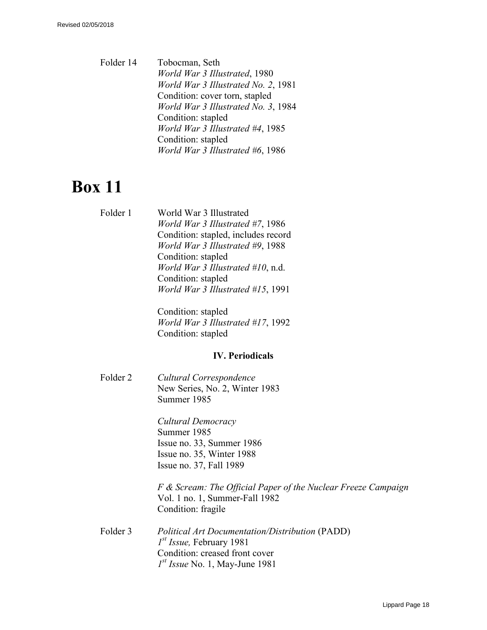Folder 14 Tobocman, Seth *World War 3 Illustrated*, 1980 *World War 3 Illustrated No. 2*, 1981 Condition: cover torn, stapled *World War 3 Illustrated No. 3*, 1984 Condition: stapled *World War 3 Illustrated #4*, 1985 Condition: stapled *World War 3 Illustrated #6*, 1986

# **Box 11**

Folder 1 World War 3 Illustrated *World War 3 Illustrated #7*, 1986 Condition: stapled, includes record *World War 3 Illustrated #9*, 1988 Condition: stapled *World War 3 Illustrated #10*, n.d. Condition: stapled *World War 3 Illustrated #15*, 1991

> Condition: stapled *World War 3 Illustrated #17*, 1992 Condition: stapled

#### **IV. Periodicals**

Folder 2 *Cultural Correspondence*  New Series, No. 2, Winter 1983 Summer 1985

> *Cultural Democracy*  Summer 1985 Issue no. 33, Summer 1986 Issue no. 35, Winter 1988 Issue no. 37, Fall 1989

*F & Scream: The Official Paper of the Nuclear Freeze Campaign* Vol. 1 no. 1, Summer-Fall 1982 Condition: fragile

Folder 3 *Political Art Documentation/Distribution* (PADD) *1 st Issue,* February 1981 Condition: creased front cover *1 st Issue* No. 1, May-June 1981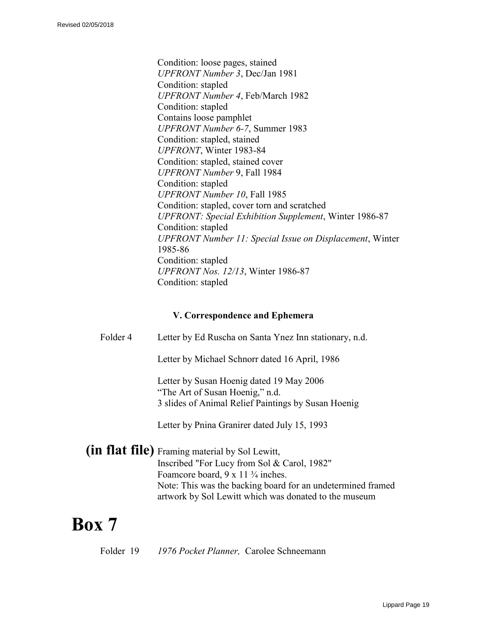Condition: loose pages, stained *UPFRONT Number 3*, Dec/Jan 1981 Condition: stapled *UPFRONT Number 4*, Feb/March 1982 Condition: stapled Contains loose pamphlet *UPFRONT Number 6-7*, Summer 1983 Condition: stapled, stained *UPFRONT*, Winter 1983-84 Condition: stapled, stained cover *UPFRONT Number* 9, Fall 1984 Condition: stapled *UPFRONT Number 10*, Fall 1985 Condition: stapled, cover torn and scratched *UPFRONT: Special Exhibition Supplement*, Winter 1986-87 Condition: stapled *UPFRONT Number 11: Special Issue on Displacement*, Winter 1985-86 Condition: stapled *UPFRONT Nos. 12/13*, Winter 1986-87 Condition: stapled

#### **V. Correspondence and Ephemera**

Folder 4 Letter by Ed Ruscha on Santa Ynez Inn stationary, n.d.

Letter by Michael Schnorr dated 16 April, 1986

Letter by Susan Hoenig dated 19 May 2006 "The Art of Susan Hoenig," n.d. 3 slides of Animal Relief Paintings by Susan Hoenig

Letter by Pnina Granirer dated July 15, 1993

**(in flat file)** Framing material by Sol Lewitt, Inscribed "For Lucy from Sol & Carol, 1982" Foamcore board,  $9 \times 11 \frac{3}{4}$  inches. Note: This was the backing board for an undetermined framed artwork by Sol Lewitt which was donated to the museum

## **Box 7**

Folder 19 *1976 Pocket Planner,* Carolee Schneemann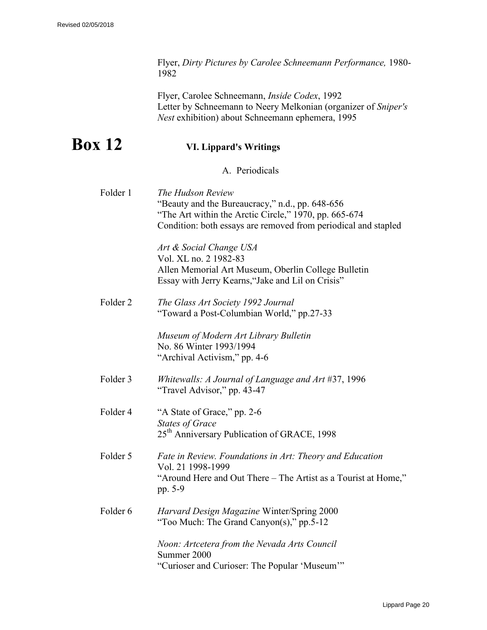Flyer, *Dirty Pictures by Carolee Schneemann Performance,* 1980- 1982

Flyer, Carolee Schneemann, *Inside Codex*, 1992 Letter by Schneemann to Neery Melkonian (organizer of *Sniper's Nest* exhibition) about Schneemann ephemera, 1995

# **Box 12 VI. Lippard's Writings**

A. Periodicals

| Folder 1            | The Hudson Review<br>"Beauty and the Bureaucracy," n.d., pp. 648-656<br>"The Art within the Arctic Circle," 1970, pp. 665-674<br>Condition: both essays are removed from periodical and stapled |
|---------------------|-------------------------------------------------------------------------------------------------------------------------------------------------------------------------------------------------|
|                     | Art & Social Change USA<br>Vol. XL no. 2 1982-83<br>Allen Memorial Art Museum, Oberlin College Bulletin<br>Essay with Jerry Kearns, "Jake and Lil on Crisis"                                    |
| Folder <sub>2</sub> | The Glass Art Society 1992 Journal<br>"Toward a Post-Columbian World," pp.27-33                                                                                                                 |
|                     | Museum of Modern Art Library Bulletin<br>No. 86 Winter 1993/1994<br>"Archival Activism," pp. 4-6                                                                                                |
| Folder 3            | Whitewalls: A Journal of Language and Art #37, 1996<br>"Travel Advisor," pp. 43-47                                                                                                              |
| Folder 4            | "A State of Grace," pp. 2-6<br><b>States of Grace</b><br>25 <sup>th</sup> Anniversary Publication of GRACE, 1998                                                                                |
| Folder 5            | Fate in Review. Foundations in Art: Theory and Education<br>Vol. 21 1998-1999<br>"Around Here and Out There - The Artist as a Tourist at Home,"<br>pp. 5-9                                      |
| Folder 6            | Harvard Design Magazine Winter/Spring 2000<br>"Too Much: The Grand Canyon(s)," pp.5-12                                                                                                          |
|                     | Noon: Artcetera from the Nevada Arts Council<br>Summer 2000<br>"Curioser and Curioser: The Popular 'Museum'"                                                                                    |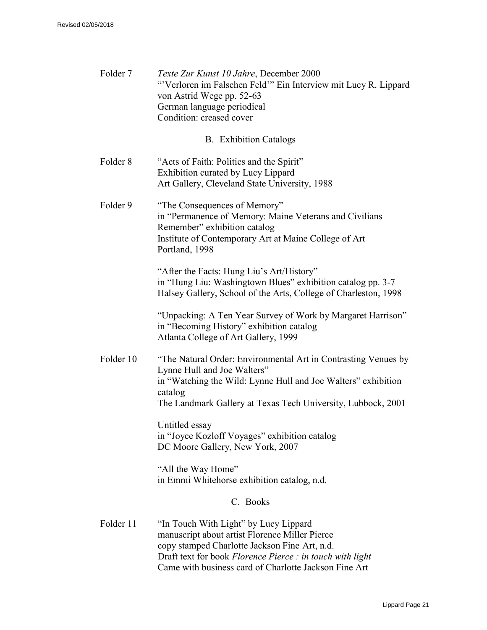| Folder <sub>7</sub> | Texte Zur Kunst 10 Jahre, December 2000<br>"Verloren im Falschen Feld" Ein Interview mit Lucy R. Lippard<br>von Astrid Wege pp. 52-63<br>German language periodical<br>Condition: creased cover                                           |  |
|---------------------|-------------------------------------------------------------------------------------------------------------------------------------------------------------------------------------------------------------------------------------------|--|
|                     | <b>B.</b> Exhibition Catalogs                                                                                                                                                                                                             |  |
| Folder <sub>8</sub> | "Acts of Faith: Politics and the Spirit"<br>Exhibition curated by Lucy Lippard<br>Art Gallery, Cleveland State University, 1988                                                                                                           |  |
| Folder 9            | "The Consequences of Memory"<br>in "Permanence of Memory: Maine Veterans and Civilians<br>Remember" exhibition catalog<br>Institute of Contemporary Art at Maine College of Art<br>Portland, 1998                                         |  |
|                     | "After the Facts: Hung Liu's Art/History"<br>in "Hung Liu: Washingtown Blues" exhibition catalog pp. 3-7<br>Halsey Gallery, School of the Arts, College of Charleston, 1998                                                               |  |
|                     | "Unpacking: A Ten Year Survey of Work by Margaret Harrison"<br>in "Becoming History" exhibition catalog<br>Atlanta College of Art Gallery, 1999                                                                                           |  |
| Folder 10           | "The Natural Order: Environmental Art in Contrasting Venues by<br>Lynne Hull and Joe Walters"<br>in "Watching the Wild: Lynne Hull and Joe Walters" exhibition<br>catalog<br>The Landmark Gallery at Texas Tech University, Lubbock, 2001 |  |
|                     | Untitled essay<br>in "Joyce Kozloff Voyages" exhibition catalog<br>DC Moore Gallery, New York, 2007                                                                                                                                       |  |
|                     | "All the Way Home"<br>in Emmi Whitehorse exhibition catalog, n.d.                                                                                                                                                                         |  |
| C. Books            |                                                                                                                                                                                                                                           |  |
| Folder 11           | "In Touch With Light" by Lucy Lippard<br>manuscript about artist Florence Miller Pierce<br>copy stamped Charlotte Jackson Fine Art, n.d.<br>Draft text for book Florence Pierce : in touch with light                                     |  |

Came with business card of Charlotte Jackson Fine Art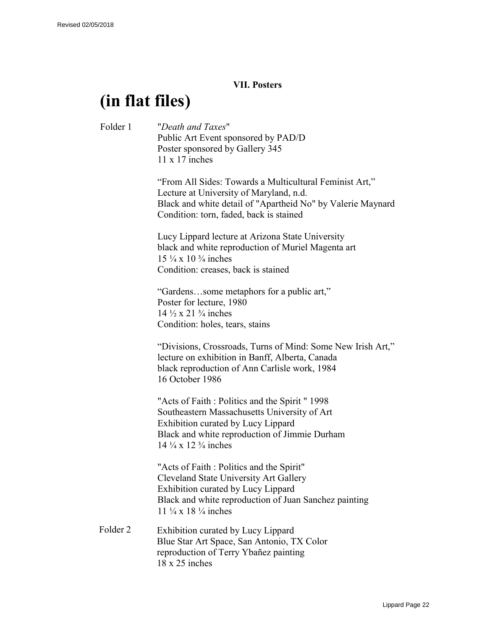#### **VII. Posters**

# **(in flat files)**

Folder 1 "*Death and Taxes*" Public Art Event sponsored by PAD/D Poster sponsored by Gallery 345 11 x 17 inches "From All Sides: Towards a Multicultural Feminist Art," Lecture at University of Maryland, n.d. Black and white detail of "Apartheid No" by Valerie Maynard Condition: torn, faded, back is stained Lucy Lippard lecture at Arizona State University black and white reproduction of Muriel Magenta art 15 ¼ x 10 ¾ inches Condition: creases, back is stained "Gardens…some metaphors for a public art," Poster for lecture, 1980 14  $\frac{1}{2}$  x 21  $\frac{3}{4}$  inches Condition: holes, tears, stains "Divisions, Crossroads, Turns of Mind: Some New Irish Art," lecture on exhibition in Banff, Alberta, Canada black reproduction of Ann Carlisle work, 1984 16 October 1986 "Acts of Faith : Politics and the Spirit " 1998 Southeastern Massachusetts University of Art Exhibition curated by Lucy Lippard Black and white reproduction of Jimmie Durham  $14 \frac{1}{4} \times 12 \frac{3}{4}$  inches "Acts of Faith : Politics and the Spirit" Cleveland State University Art Gallery Exhibition curated by Lucy Lippard Black and white reproduction of Juan Sanchez painting 11 ¼ x 18 ¼ inches Folder 2 Exhibition curated by Lucy Lippard Blue Star Art Space, San Antonio, TX Color reproduction of Terry Ybañez painting 18 x 25 inches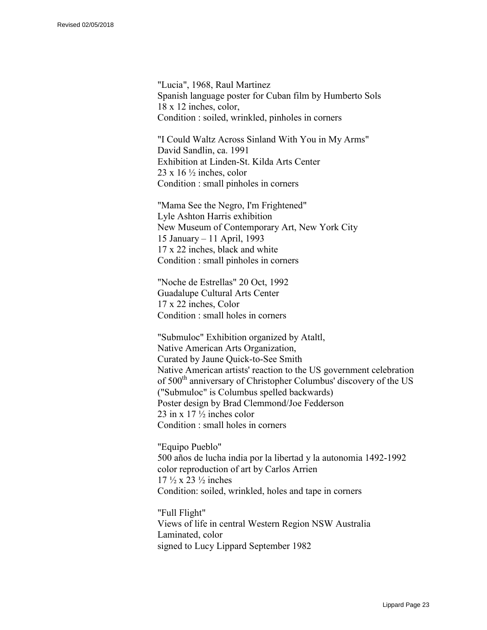"Lucia", 1968, Raul Martinez Spanish language poster for Cuban film by Humberto Sols 18 x 12 inches, color, Condition : soiled, wrinkled, pinholes in corners

"I Could Waltz Across Sinland With You in My Arms" David Sandlin, ca. 1991 Exhibition at Linden-St. Kilda Arts Center  $23 \times 16 \frac{1}{2}$  inches, color Condition : small pinholes in corners

"Mama See the Negro, I'm Frightened" Lyle Ashton Harris exhibition New Museum of Contemporary Art, New York City 15 January – 11 April, 1993 17 x 22 inches, black and white Condition : small pinholes in corners

"Noche de Estrellas" 20 Oct, 1992 Guadalupe Cultural Arts Center 17 x 22 inches, Color Condition : small holes in corners

"Submuloc" Exhibition organized by Ataltl, Native American Arts Organization, Curated by Jaune Quick-to-See Smith Native American artists' reaction to the US government celebration of 500<sup>th</sup> anniversary of Christopher Columbus' discovery of the US ("Submuloc" is Columbus spelled backwards) Poster design by Brad Clemmond/Joe Fedderson 23 in x 17 ½ inches color Condition : small holes in corners

"Equipo Pueblo" 500 años de lucha india por la libertad y la autonomia 1492-1992 color reproduction of art by Carlos Arrien  $17 \frac{1}{2} \times 23 \frac{1}{2}$  inches Condition: soiled, wrinkled, holes and tape in corners

"Full Flight" Views of life in central Western Region NSW Australia Laminated, color signed to Lucy Lippard September 1982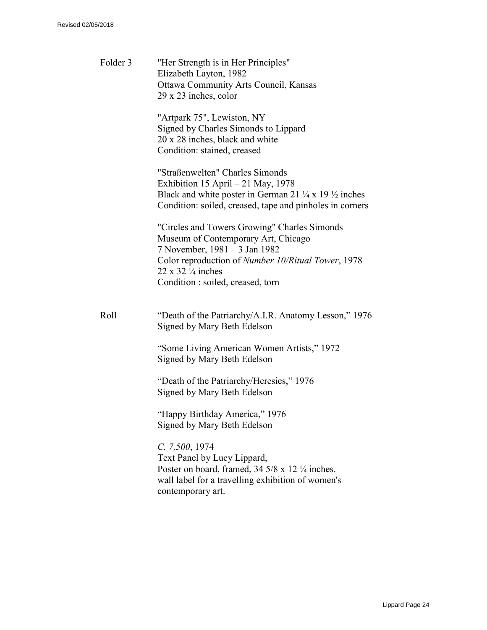| Folder 3 | "Her Strength is in Her Principles"<br>Elizabeth Layton, 1982<br><b>Ottawa Community Arts Council, Kansas</b><br>29 x 23 inches, color                                                                                                              |
|----------|-----------------------------------------------------------------------------------------------------------------------------------------------------------------------------------------------------------------------------------------------------|
|          | "Artpark 75", Lewiston, NY<br>Signed by Charles Simonds to Lippard<br>20 x 28 inches, black and white<br>Condition: stained, creased                                                                                                                |
|          | "Straßenwelten" Charles Simonds<br>Exhibition 15 April $-21$ May, 1978<br>Black and white poster in German 21 $\frac{1}{4}$ x 19 $\frac{1}{2}$ inches<br>Condition: soiled, creased, tape and pinholes in corners                                   |
|          | "Circles and Towers Growing" Charles Simonds<br>Museum of Contemporary Art, Chicago<br>7 November, 1981 – 3 Jan 1982<br>Color reproduction of Number 10/Ritual Tower, 1978<br>$22 \times 32 \frac{1}{4}$ inches<br>Condition: soiled, creased, torn |
| Roll     | "Death of the Patriarchy/A.I.R. Anatomy Lesson," 1976<br>Signed by Mary Beth Edelson                                                                                                                                                                |
|          | "Some Living American Women Artists," 1972<br>Signed by Mary Beth Edelson                                                                                                                                                                           |
|          | "Death of the Patriarchy/Heresies," 1976<br>Signed by Mary Beth Edelson                                                                                                                                                                             |
|          | "Happy Birthday America," 1976<br>Signed by Mary Beth Edelson                                                                                                                                                                                       |
|          | C. 7,500, 1974<br>Text Panel by Lucy Lippard,<br>Poster on board, framed, $34\frac{5}{8} \times 12\frac{1}{4}$ inches.<br>wall label for a travelling exhibition of women's<br>contemporary art.                                                    |